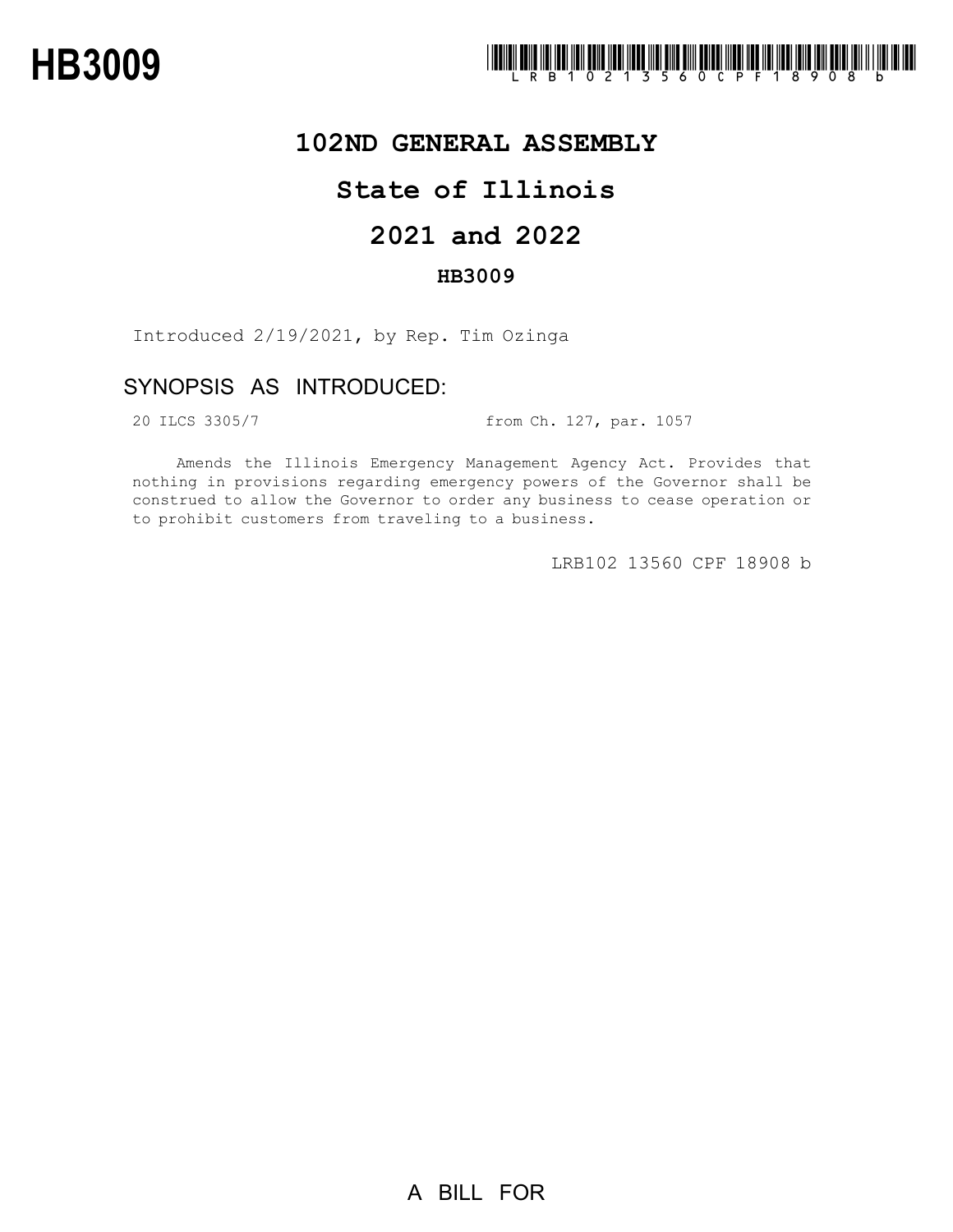## **102ND GENERAL ASSEMBLY**

# **State of Illinois**

# **2021 and 2022**

### **HB3009**

Introduced 2/19/2021, by Rep. Tim Ozinga

### SYNOPSIS AS INTRODUCED:

20 ILCS 3305/7 from Ch. 127, par. 1057

Amends the Illinois Emergency Management Agency Act. Provides that nothing in provisions regarding emergency powers of the Governor shall be construed to allow the Governor to order any business to cease operation or to prohibit customers from traveling to a business.

LRB102 13560 CPF 18908 b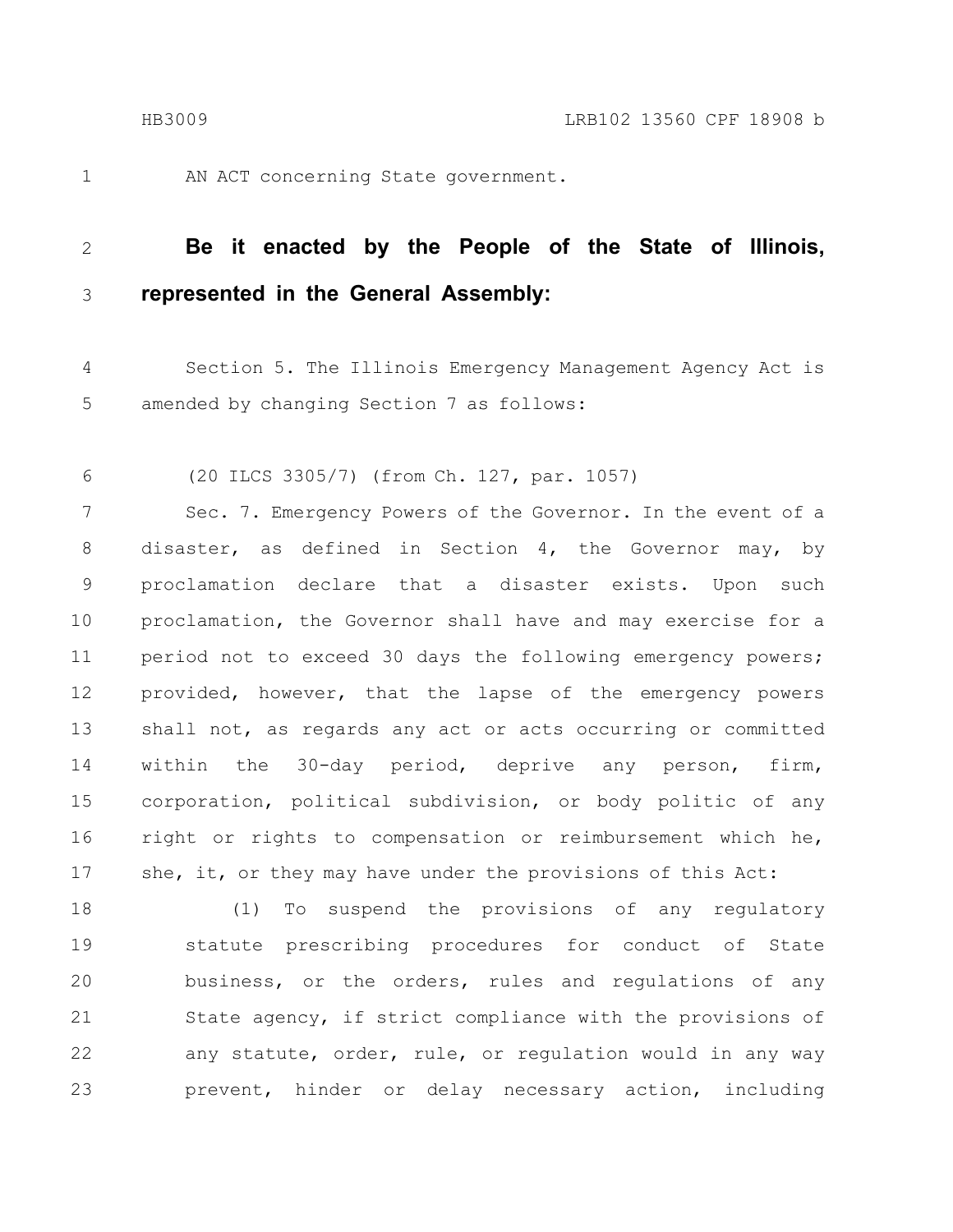1

AN ACT concerning State government.

#### **Be it enacted by the People of the State of Illinois, represented in the General Assembly:** 2 3

Section 5. The Illinois Emergency Management Agency Act is amended by changing Section 7 as follows: 4 5

(20 ILCS 3305/7) (from Ch. 127, par. 1057) 6

Sec. 7. Emergency Powers of the Governor. In the event of a disaster, as defined in Section 4, the Governor may, by proclamation declare that a disaster exists. Upon such proclamation, the Governor shall have and may exercise for a period not to exceed 30 days the following emergency powers; provided, however, that the lapse of the emergency powers shall not, as regards any act or acts occurring or committed within the 30-day period, deprive any person, firm, corporation, political subdivision, or body politic of any right or rights to compensation or reimbursement which he, she, it, or they may have under the provisions of this Act: 7 8 9 10 11 12 13 14 15 16 17

(1) To suspend the provisions of any regulatory statute prescribing procedures for conduct of State business, or the orders, rules and regulations of any State agency, if strict compliance with the provisions of any statute, order, rule, or regulation would in any way prevent, hinder or delay necessary action, including 18 19 20 21 22 23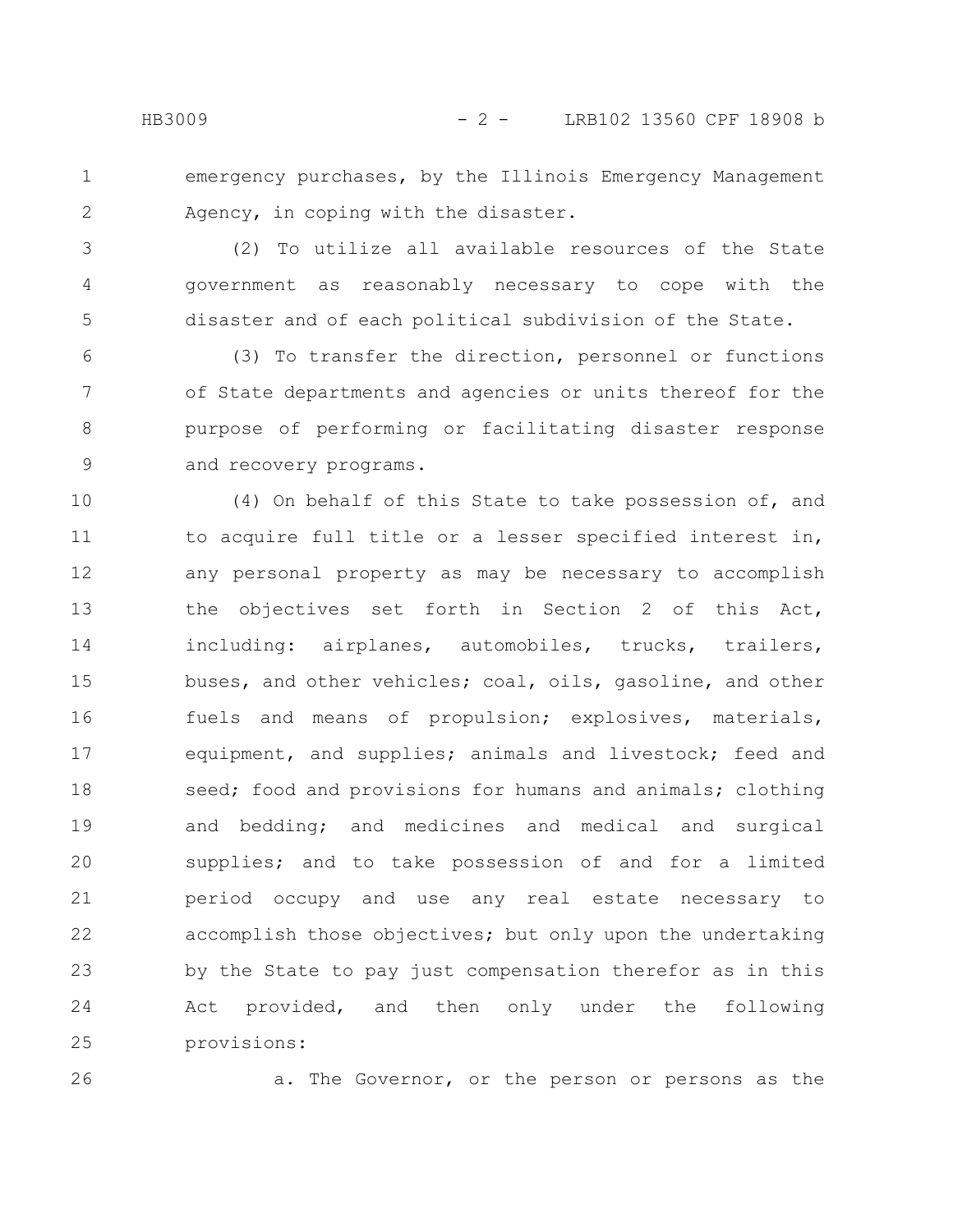1 2 emergency purchases, by the Illinois Emergency Management Agency, in coping with the disaster.

3 4

5

(2) To utilize all available resources of the State government as reasonably necessary to cope with the disaster and of each political subdivision of the State.

(3) To transfer the direction, personnel or functions of State departments and agencies or units thereof for the purpose of performing or facilitating disaster response and recovery programs. 6 7 8 9

(4) On behalf of this State to take possession of, and to acquire full title or a lesser specified interest in, any personal property as may be necessary to accomplish the objectives set forth in Section 2 of this Act, including: airplanes, automobiles, trucks, trailers, buses, and other vehicles; coal, oils, gasoline, and other fuels and means of propulsion; explosives, materials, equipment, and supplies; animals and livestock; feed and seed; food and provisions for humans and animals; clothing and bedding; and medicines and medical and surgical supplies; and to take possession of and for a limited period occupy and use any real estate necessary to accomplish those objectives; but only upon the undertaking by the State to pay just compensation therefor as in this Act provided, and then only under the following provisions: 10 11 12 13 14 15 16 17 18 19 20 21 22 23 24 25

26

a. The Governor, or the person or persons as the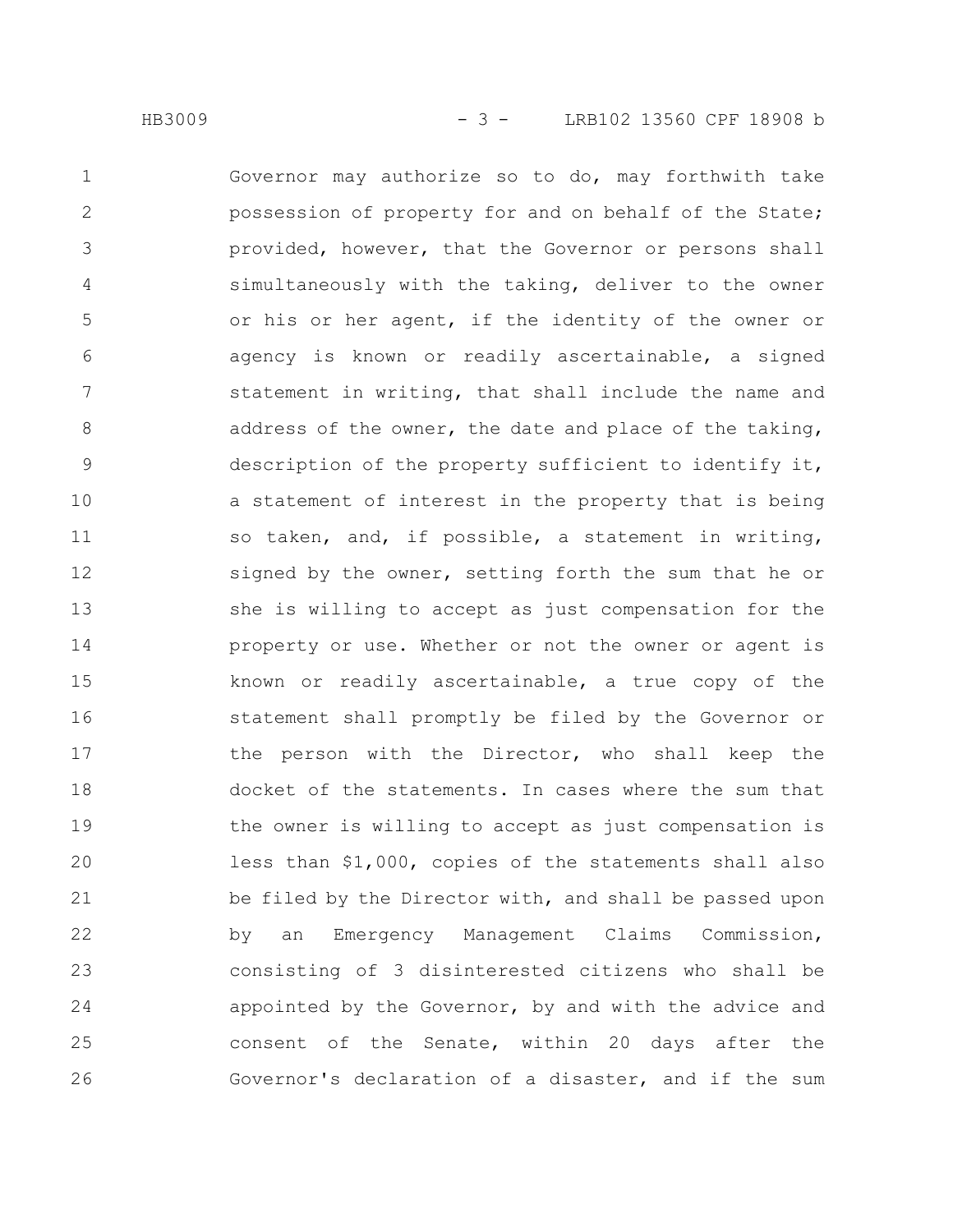Governor may authorize so to do, may forthwith take possession of property for and on behalf of the State; provided, however, that the Governor or persons shall simultaneously with the taking, deliver to the owner or his or her agent, if the identity of the owner or agency is known or readily ascertainable, a signed statement in writing, that shall include the name and address of the owner, the date and place of the taking, description of the property sufficient to identify it, a statement of interest in the property that is being so taken, and, if possible, a statement in writing, signed by the owner, setting forth the sum that he or she is willing to accept as just compensation for the property or use. Whether or not the owner or agent is known or readily ascertainable, a true copy of the statement shall promptly be filed by the Governor or the person with the Director, who shall keep the docket of the statements. In cases where the sum that the owner is willing to accept as just compensation is less than \$1,000, copies of the statements shall also be filed by the Director with, and shall be passed upon by an Emergency Management Claims Commission, consisting of 3 disinterested citizens who shall be appointed by the Governor, by and with the advice and consent of the Senate, within 20 days after the Governor's declaration of a disaster, and if the sum 1 2 3 4 5 6 7 8 9 10 11 12 13 14 15 16 17 18 19 20 21 22 23 24 25 26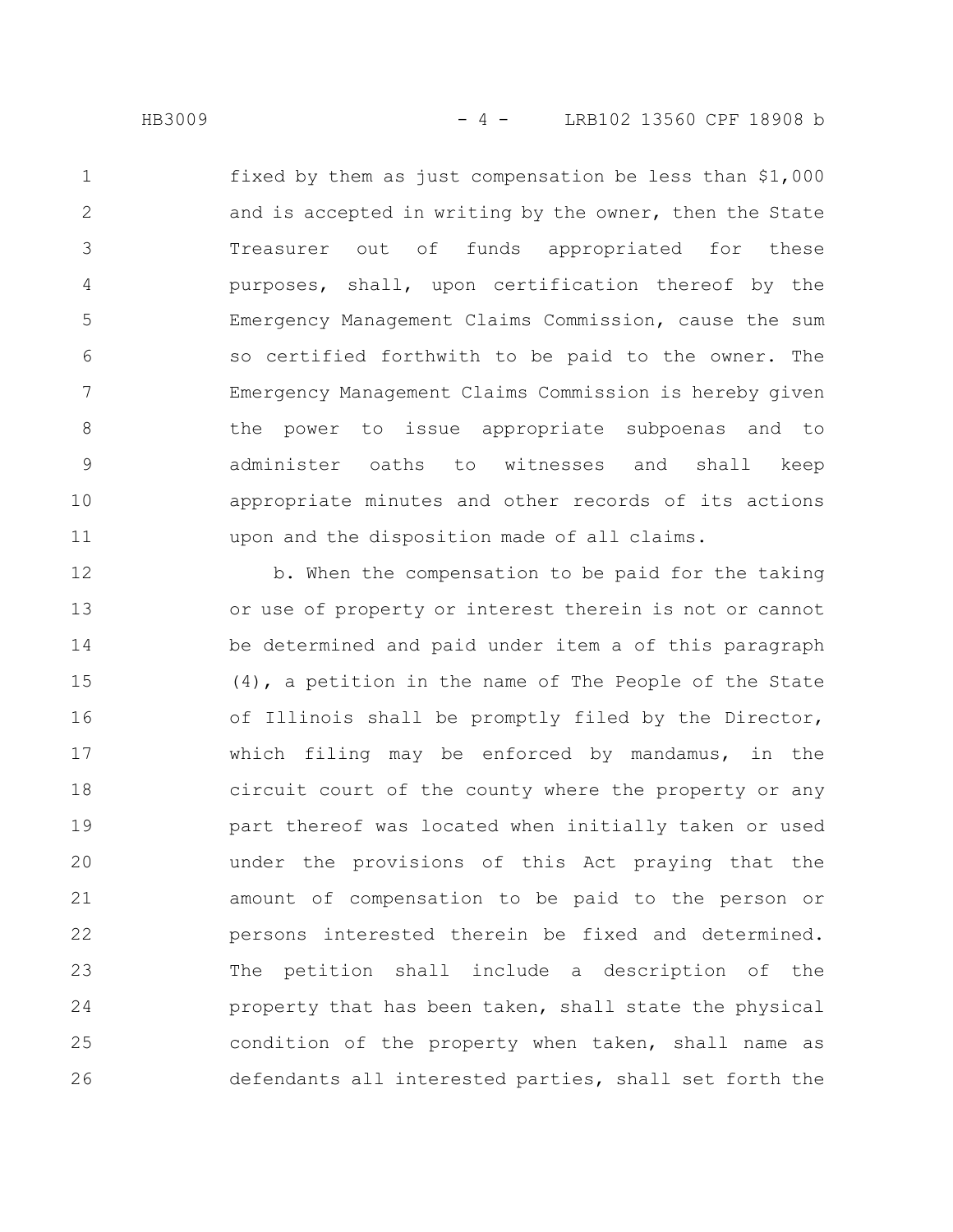HB3009 - 4 - LRB102 13560 CPF 18908 b

fixed by them as just compensation be less than \$1,000 and is accepted in writing by the owner, then the State Treasurer out of funds appropriated for these purposes, shall, upon certification thereof by the Emergency Management Claims Commission, cause the sum so certified forthwith to be paid to the owner. The Emergency Management Claims Commission is hereby given the power to issue appropriate subpoenas and to administer oaths to witnesses and shall keep appropriate minutes and other records of its actions upon and the disposition made of all claims. 1 2 3 4 5 6 7 8 9 10 11

b. When the compensation to be paid for the taking or use of property or interest therein is not or cannot be determined and paid under item a of this paragraph (4), a petition in the name of The People of the State of Illinois shall be promptly filed by the Director, which filing may be enforced by mandamus, in the circuit court of the county where the property or any part thereof was located when initially taken or used under the provisions of this Act praying that the amount of compensation to be paid to the person or persons interested therein be fixed and determined. The petition shall include a description of the property that has been taken, shall state the physical condition of the property when taken, shall name as defendants all interested parties, shall set forth the 12 13 14 15 16 17 18 19 20 21 22 23 24 25 26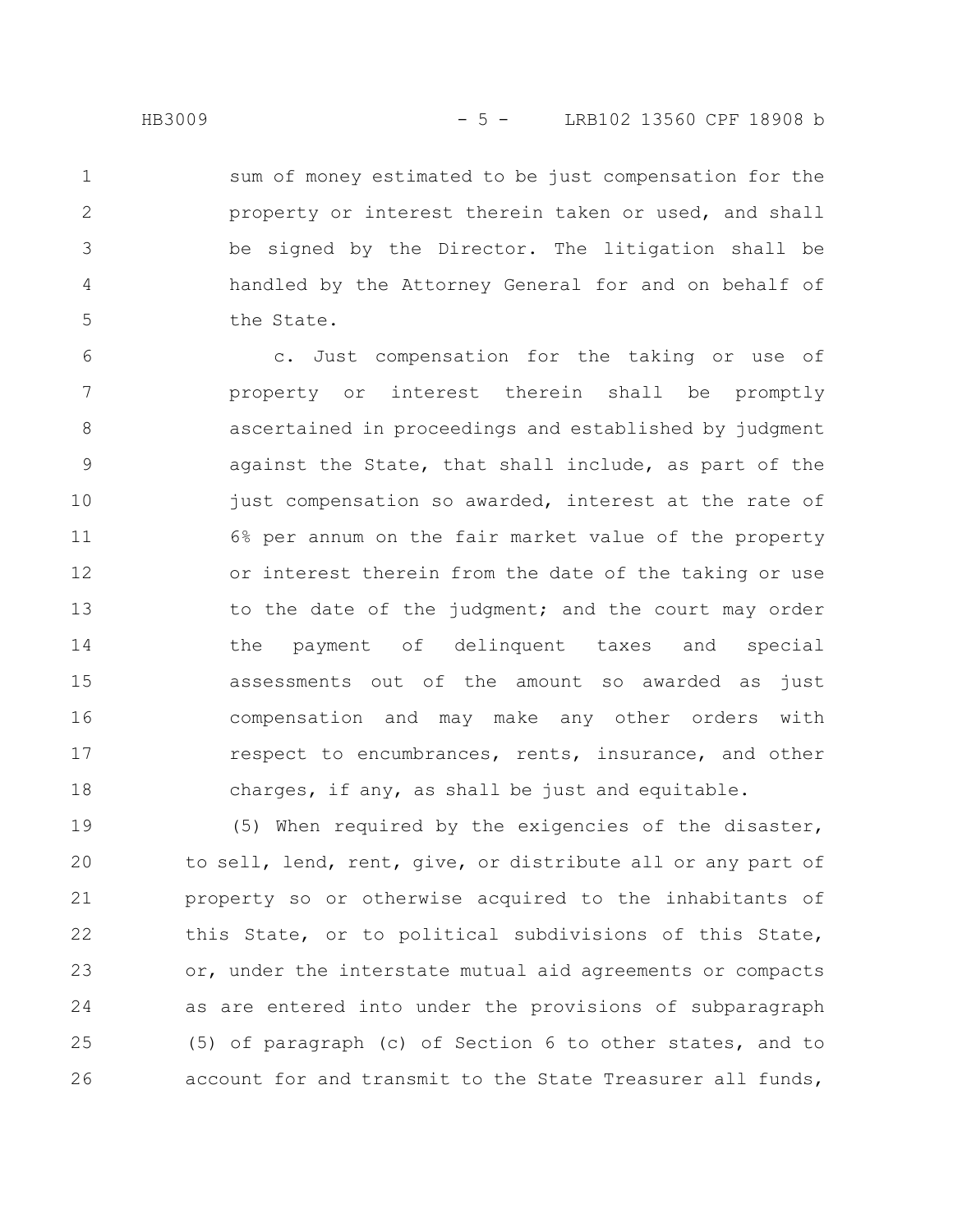1

2

3

4

5

sum of money estimated to be just compensation for the property or interest therein taken or used, and shall be signed by the Director. The litigation shall be handled by the Attorney General for and on behalf of the State.

c. Just compensation for the taking or use of property or interest therein shall be promptly ascertained in proceedings and established by judgment against the State, that shall include, as part of the just compensation so awarded, interest at the rate of 6% per annum on the fair market value of the property or interest therein from the date of the taking or use to the date of the judgment; and the court may order the payment of delinquent taxes and special assessments out of the amount so awarded as just compensation and may make any other orders with respect to encumbrances, rents, insurance, and other charges, if any, as shall be just and equitable. 6 7 8 9 10 11 12 13 14 15 16 17 18

(5) When required by the exigencies of the disaster, to sell, lend, rent, give, or distribute all or any part of property so or otherwise acquired to the inhabitants of this State, or to political subdivisions of this State, or, under the interstate mutual aid agreements or compacts as are entered into under the provisions of subparagraph (5) of paragraph (c) of Section 6 to other states, and to account for and transmit to the State Treasurer all funds, 19 20 21 22 23 24 25 26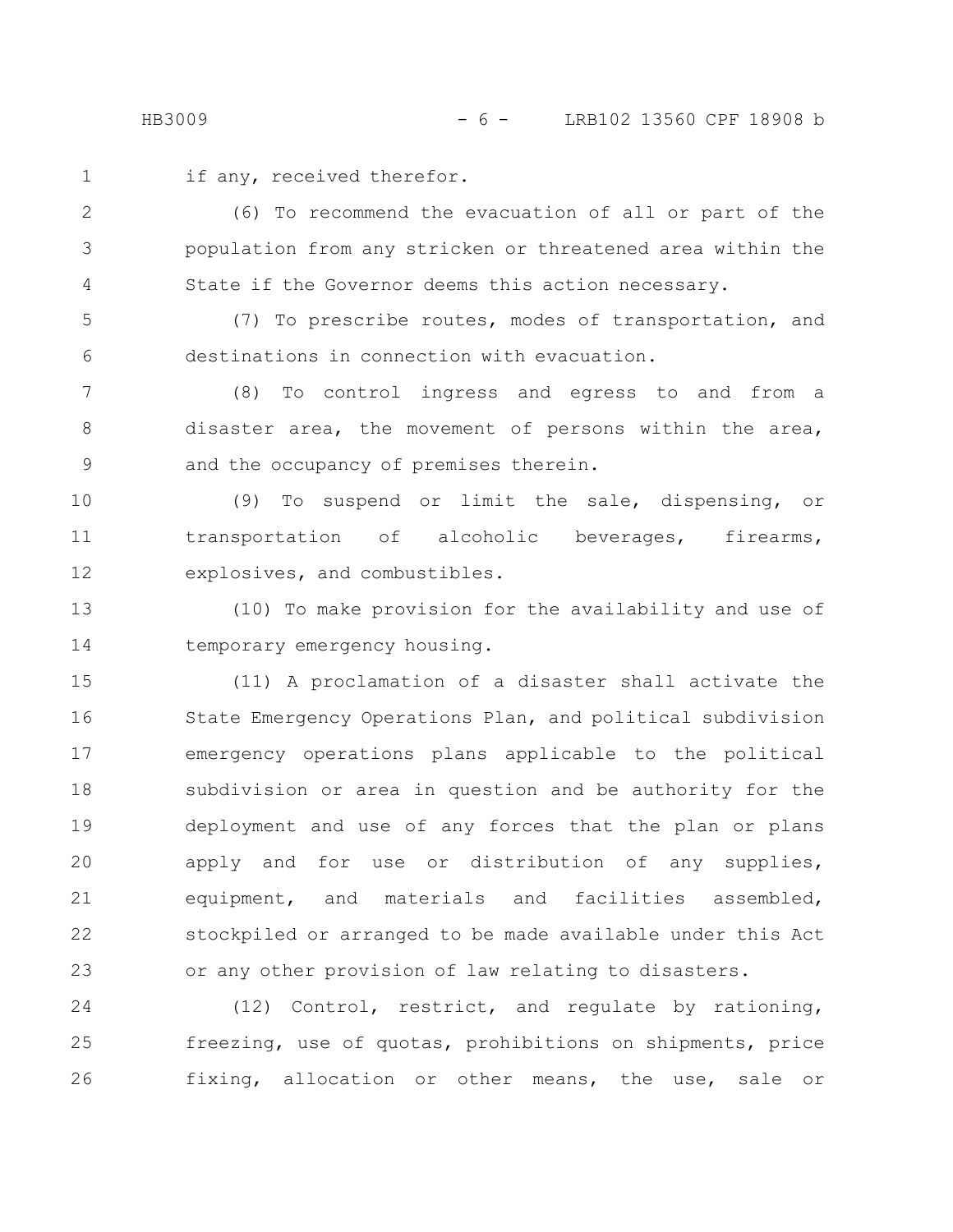HB3009 - 6 - LRB102 13560 CPF 18908 b

- 
- if any, received therefor. 1

(6) To recommend the evacuation of all or part of the population from any stricken or threatened area within the State if the Governor deems this action necessary. 2 3 4

(7) To prescribe routes, modes of transportation, and destinations in connection with evacuation. 5 6

(8) To control ingress and egress to and from a disaster area, the movement of persons within the area, and the occupancy of premises therein. 7 8 9

(9) To suspend or limit the sale, dispensing, or transportation of alcoholic beverages, firearms, explosives, and combustibles. 10 11 12

(10) To make provision for the availability and use of temporary emergency housing. 13 14

(11) A proclamation of a disaster shall activate the State Emergency Operations Plan, and political subdivision emergency operations plans applicable to the political subdivision or area in question and be authority for the deployment and use of any forces that the plan or plans apply and for use or distribution of any supplies, equipment, and materials and facilities assembled, stockpiled or arranged to be made available under this Act or any other provision of law relating to disasters. 15 16 17 18 19 20 21 22 23

(12) Control, restrict, and regulate by rationing, freezing, use of quotas, prohibitions on shipments, price fixing, allocation or other means, the use, sale or 24 25 26